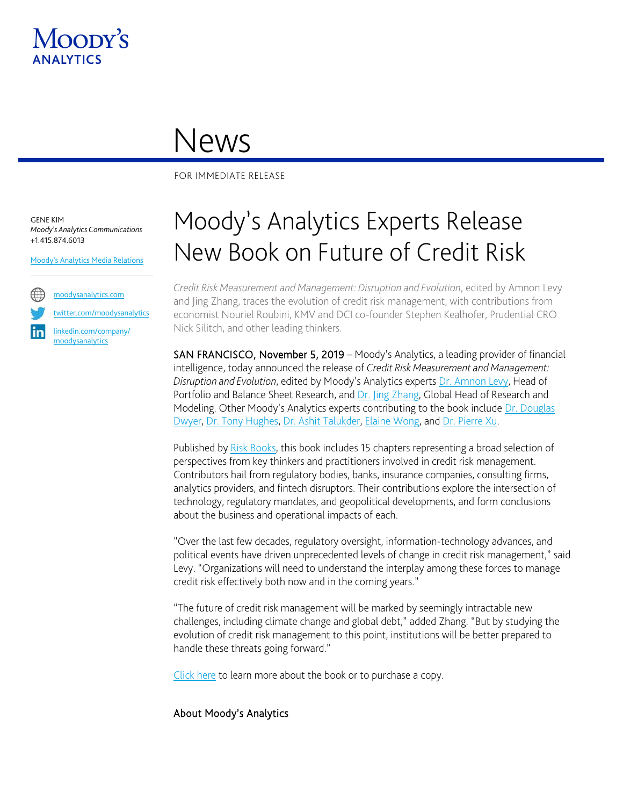

## News

FOR IMMEDIATE RELEASE

GENE KIM *Moody's Analytics Communications* +1.415.874.6013

[Moody's Analytics Media Relations](mailto:MAMediarelations@moodys.com?subject=MA%20Experts%20Release%20Risk%20Book)



[twitter.com/moodysanalytics](https://twitter.com/MoodysAnalytics)

[linkedin.com/company/](https://www.linkedin.com/company/moodysanalytics) [moodysanalytics](https://www.linkedin.com/company/moodysanalytics)

## Moody's Analytics Experts Release New Book on Future of Credit Risk

*Credit Risk Measurement and Management: Disruption and Evolution*, edited by Amnon Levy and Jing Zhang, traces the evolution of credit risk management, with contributions from economist Nouriel Roubini, KMV and DCI co-founder Stephen Kealhofer, Prudential CRO Nick Silitch, and other leading thinkers.

SAN FRANCISCO, November 5, 2019 – Moody's Analytics, a leading provider of financial intelligence, today announced the release of *Credit Risk Measurement and Management: Disruption and Evolution*, edited by Moody's Analytics experts [Dr. Amnon Levy,](https://www.moodysanalytics.com/about-us/subject-matter-experts/amnon-levy) Head of Portfolio and Balance Sheet Research, and [Dr. Jing Zhang,](https://www.moodysanalytics.com/about-us/subject-matter-experts/jing-zhang) Global Head of Research and Modeling. Other Moody's Analytics experts contributing to the book include [Dr. Douglas](https://www.moodysanalytics.com/about-us/subject-matter-experts/douglas-dwyer)  [Dwyer,](https://www.moodysanalytics.com/about-us/subject-matter-experts/douglas-dwyer) [Dr. Tony Hughes,](https://www.moodysanalytics.com/about-us/subject-matter-experts/tony-hughes) [Dr. Ashit Talukder,](https://www.moodysanalytics.com/about-us/subject-matter-experts/ashit-talukder) [Elaine Wong,](https://www.moodysanalytics.com/about-us/subject-matter-experts/elaine-wong) and [Dr. Pierre Xu.](https://www.moodysanalytics.com/about-us/subject-matter-experts/pierre-xu)

Published b[y Risk Books,](https://riskbooks.com/credit-risk-measurement-and-management) this book includes 15 chapters representing a broad selection of perspectives from key thinkers and practitioners involved in credit risk management. Contributors hail from regulatory bodies, banks, insurance companies, consulting firms, analytics providers, and fintech disruptors. Their contributions explore the intersection of technology, regulatory mandates, and geopolitical developments, and form conclusions about the business and operational impacts of each.

"Over the last few decades, regulatory oversight, information-technology advances, and political events have driven unprecedented levels of change in credit risk management," said Levy. "Organizations will need to understand the interplay among these forces to manage credit risk effectively both now and in the coming years."

"The future of credit risk management will be marked by seemingly intractable new challenges, including climate change and global debt," added Zhang. "But by studying the evolution of credit risk management to this point, institutions will be better prepared to handle these threats going forward."

[Click here](https://riskbooks.com/credit-risk-measurement-and-management) to learn more about the book or to purchase a copy.

## About Moody's Analytics